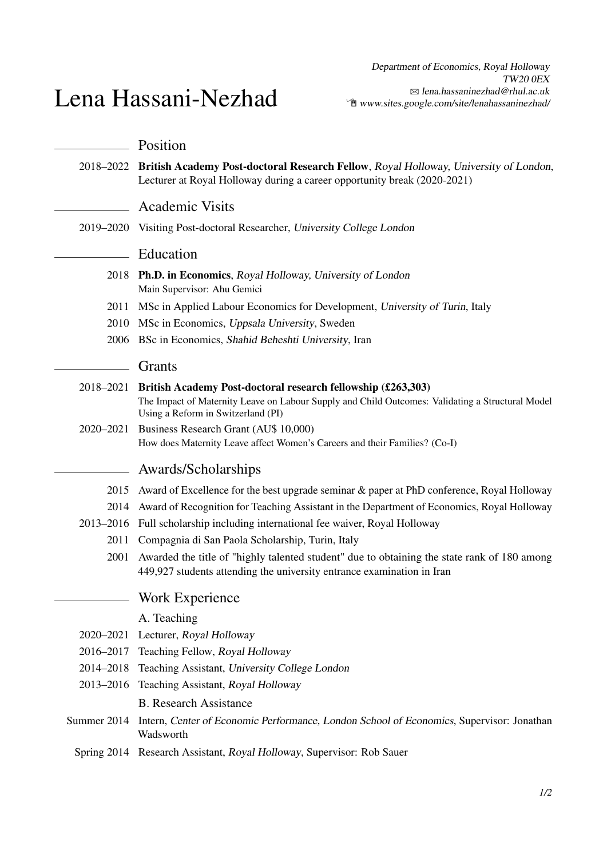## Lena Hassani-Nezhad

|             | Position                                                                                                                                                                   |
|-------------|----------------------------------------------------------------------------------------------------------------------------------------------------------------------------|
|             | 2018–2022 British Academy Post-doctoral Research Fellow, Royal Holloway, University of London,<br>Lecturer at Royal Holloway during a career opportunity break (2020-2021) |
|             | <b>Academic Visits</b>                                                                                                                                                     |
|             | 2019–2020 Visiting Post-doctoral Researcher, University College London                                                                                                     |
|             | Education                                                                                                                                                                  |
| 2018        | <b>Ph.D. in Economics, Royal Holloway, University of London</b><br>Main Supervisor: Ahu Gemici                                                                             |
| 2011        | MSc in Applied Labour Economics for Development, University of Turin, Italy                                                                                                |
|             | 2010 MSc in Economics, Uppsala University, Sweden                                                                                                                          |
| 2006        | BSc in Economics, Shahid Beheshti University, Iran                                                                                                                         |
|             | Grants                                                                                                                                                                     |
| 2018-2021   | British Academy Post-doctoral research fellowship (£263,303)                                                                                                               |
|             | The Impact of Maternity Leave on Labour Supply and Child Outcomes: Validating a Structural Model                                                                           |
|             | Using a Reform in Switzerland (PI)                                                                                                                                         |
| 2020-2021   | Business Research Grant (AU\$ 10,000)<br>How does Maternity Leave affect Women's Careers and their Families? (Co-I)                                                        |
|             | Awards/Scholarships                                                                                                                                                        |
| 2015        | Award of Excellence for the best upgrade seminar & paper at PhD conference, Royal Holloway                                                                                 |
| 2014        | Award of Recognition for Teaching Assistant in the Department of Economics, Royal Holloway                                                                                 |
|             | 2013–2016 Full scholarship including international fee waiver, Royal Holloway                                                                                              |
|             | 2011 Compagnia di San Paola Scholarship, Turin, Italy                                                                                                                      |
| 2001        | Awarded the title of "highly talented student" due to obtaining the state rank of 180 among<br>449,927 students attending the university entrance examination in Iran      |
|             | <b>Work Experience</b>                                                                                                                                                     |
|             | A. Teaching                                                                                                                                                                |
| 2020-2021   | Lecturer, Royal Holloway                                                                                                                                                   |
| 2016–2017   | Teaching Fellow, Royal Holloway                                                                                                                                            |
| 2014-2018   | Teaching Assistant, University College London                                                                                                                              |
|             | 2013-2016 Teaching Assistant, Royal Holloway                                                                                                                               |
|             | <b>B.</b> Research Assistance                                                                                                                                              |
| Summer 2014 | Intern, Center of Economic Performance, London School of Economics, Supervisor: Jonathan<br>Wadsworth                                                                      |
|             | Spring 2014 Research Assistant, Royal Holloway, Supervisor: Rob Sauer                                                                                                      |